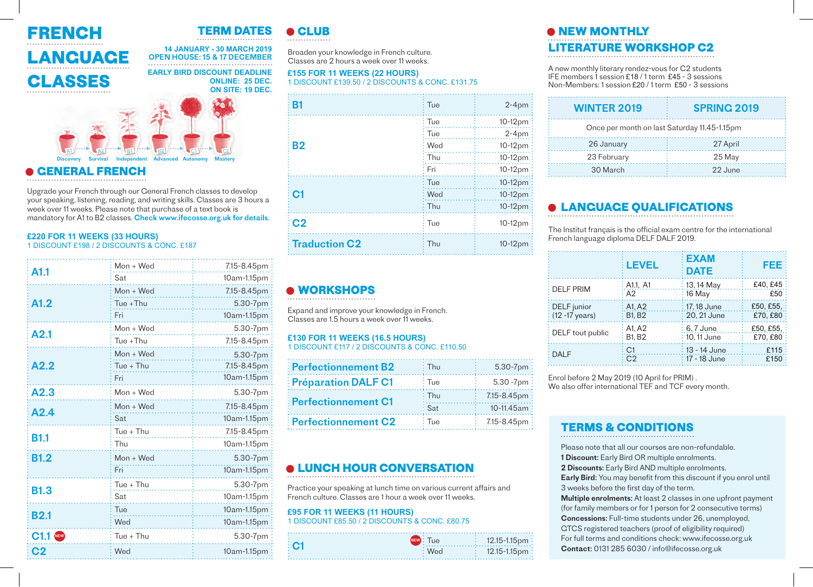

## **TERM DATES**

#### **14 JANUARY - 30 MARCH 2019** OPEN HOUSE: 15 & 17 DECEMBER





#### **• GENERAL FRENCH** A1

Upgrade your French through our General French classes to develop your speaking, listening, reading, and writing skills. Classes are 3 hours a week over 11 weeks. Please note that purchase of a text book is mandatory for A1 to B2 classes. Check www.ifecosse.org.uk for details.

#### **£220 FOR 11 WEEKS (33 HOURS)** 1 DISCOUNT £198 / 2 DISCOUNTS & CONC. £187

| A1.1           | $Mon + Wed$                              | 7.15-8.45pm |
|----------------|------------------------------------------|-------------|
|                | Sat<br>.                                 | 10am-1.15pm |
| A1.2           | $Mon + Wed$                              | 7.15-8.45pm |
|                | Tue +Thu                                 | 5.30-7pm    |
|                | Fri                                      | 10am-1.15pm |
| A2.1           | $Mon + Wed$<br>. t                       | 5.30-7pm    |
|                | Tue +Thu                                 | 7.15-8.45pm |
| A2.2           | $Mon + Wed$                              | 5.30-7pm    |
|                | $Tue + Thu$                              | 7.15-8.45pm |
|                | Fri                                      | 10am-1.15pm |
| A2.3           | Mon + Wed                                | 5.30-7pm    |
| A2.4           | Mon + Wed                                | 7.15-8.45pm |
|                | Sat<br>.                                 | 10am-1.15pm |
| <b>B1.1</b>    | $Tue + Thu$<br>.                         | 7.15-8.45pm |
|                | Thu                                      | 10am-1.15pm |
| <b>B1.2</b>    | $Mon + Wed$                              | 5.30-7pm    |
|                | Fri                                      | 10am-1.15pm |
|                | $Tue + Thu$<br>a da santa da seguna da S | 5.30-7pm    |
| <b>B1.3</b>    | Sat<br>.                                 | 10am-1.15pm |
| <b>B2.1</b>    | Tue<br>.                                 | 10am-1.15pm |
|                | Wed                                      | 10am-1.15pm |
| $C1.1$ NEW     | $Tue + Thu$                              | 5.30-7pm    |
| C <sub>2</sub> | Wed<br>.                                 | 10am-1.15pm |

#### **• CLUB**

Broaden your knowledge in French culture. Classes are 2 hours a week over 11 weeks.

## **£155 FOR 11 WEEKS (22 HOURS)**

1 DISCOUNT £139.50 / 2 DISCOUNTS & CONC. £131.75

| B1                   | Tue               | $2-4$ pm  |
|----------------------|-------------------|-----------|
| <b>B2</b>            | $\frac{1}{2}$ Tue | 10-12pm   |
|                      | $\frac{1}{2}$ Tue | $2-4pm$ : |
|                      | $:$ Wed           | $10-12pm$ |
|                      | : Thu             | 10-12pm   |
|                      | : Fri             | 10-12pm   |
| C <sub>1</sub>       | : Tue             | 10-12pm   |
|                      | : Wed             | 10-12pm   |
|                      | : Thu             | 10-12pm   |
| C <sub>2</sub>       | Tue               | 10-12pm   |
| <b>Traduction C2</b> | Thu               | 10-12pm   |

## **• WORKSHOPS**

Expand and improve your knowledge in French. Classes are 1.5 hours a week over 11 weeks.

#### **£130 FOR 11 WEEKS (16.5 HOURS)** 1 DISCOUNT £117 / 2 DISCOUNTS & CONC. £110.50

| <b>Perfectionnement B2</b> | ∔ Thu             | 5.30-7pm                    |
|----------------------------|-------------------|-----------------------------|
| <b>Préparation DALF C1</b> | : Tue             | $5.30 - 7$ pm $\frac{1}{2}$ |
| <b>Perfectionnement C1</b> | $\frac{1}{2}$ Thu | 7.15-8.45pm                 |
|                            | $\frac{1}{2}$ Sat | 10-11.45am                  |
| <b>Perfectionnement C2</b> | : Tue             | 7.15-8.45pm :               |

#### **• LUNCH HOUR CONVERSATION**

Practice your speaking at lunch time on various current affairs and French culture. Classes are 1 hour a week over 11 weeks.

#### **£95 FOR 11 WEEKS (11 HOURS)**  1 DISCOUNT £85.50 / 2 DISCOUNTS & CONC. £80.75



## **• NEW MONTHLY LERATURE WORKSHOP C2**

A new monthly literary rendez-vous for C2 students IFE members 1 session £18 / 1 term £45 - 3 sessions Non-Members: 1 session £20 / 1 term £50 - 3 sessions

| <b>WINTER 2019</b>                           | <b>SPRING 2019</b> |  |
|----------------------------------------------|--------------------|--|
| Once per month on last Saturday 11.45-1.15pm |                    |  |
| 26 January                                   | 27 April           |  |
| 23 February                                  | 25 May             |  |
| 30 March                                     | 22 June            |  |

## **• LANGUAGE QUALIFICATIONS**

The Institut français is the official exam centre for the international French language diploma DELF DALF 2019.

|                   | <b>LEVEL</b>   | : EXAM<br><b>DATE</b> | 1333      |
|-------------------|----------------|-----------------------|-----------|
| <b>DELF PRIM</b>  | : A1.1, A1     | : 13, 14 May          | £40, £45  |
|                   | : A2           | $\frac{1}{16}$ May    | £50       |
| DELF junior       | : A1.A2        | : 17, 18 June         | £50, £55, |
| $(12 - 17$ years) | : B1.B2        | : 20, 21 June         | £70. £80  |
| DELF tout public  | A1.A2          | : 6.7 June            | £50, £55, |
|                   | <b>B1.B2</b>   | : 10.11 June          | £70. £80  |
| <b>DALF</b>       | C <sub>1</sub> | ∶ 13 - 14 June        | £115      |
|                   | C <sub>2</sub> | ∶ 17 - 18 June        | £150      |

Enrol before 2 May 2019 (10 April for PRIM) . We also offer international TEF and TCF every month.

#### **TERMS & CONDITIONS**

Please note that all our courses are non-refundable. 1 Discount: Early Bird OR multiple enrolments. 2 Discounts: Early Bird AND multiple enrolments. Early Bird: You may benefit from this discount if you enrol until 3 weeks before the first day of the term. Multiple enrolments: At least 2 classes in one upfront payment (for family members or for 1 person for 2 consecutive terms) Concessions: Full-time students under 26, unemployed, GTCS registered teachers (proof of eligibility required) For full terms and conditions check: www.ifecosse.org.uk Contact: 0131 285 6030 / info@ifecosse.org.uk